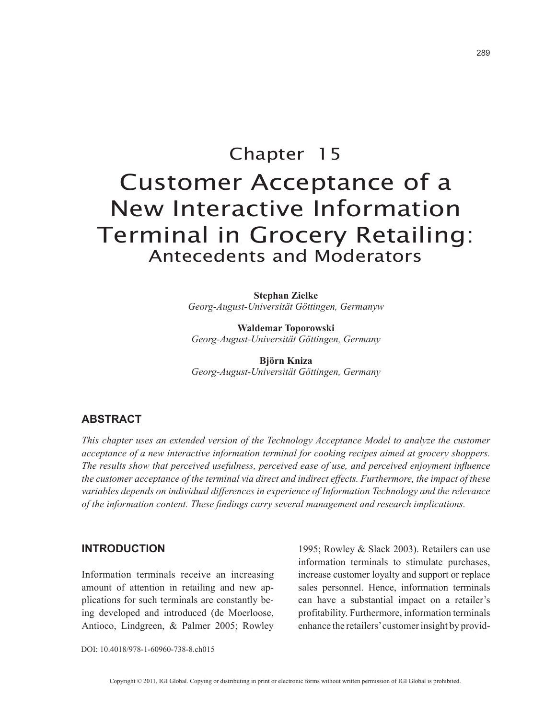# Chapter 15 Customer Acceptance of a New Interactive Information Terminal in Grocery Retailing: Antecedents and Moderators

**Stephan Zielke** *Georg-August-Universität Göttingen, Germanyw*

**Waldemar Toporowski** *Georg-August-Universität Göttingen, Germany*

**Björn Kniza** *Georg-August-Universität Göttingen, Germany*

# **ABSTRACT**

*This chapter uses an extended version of the Technology Acceptance Model to analyze the customer acceptance of a new interactive information terminal for cooking recipes aimed at grocery shoppers. The results show that perceived usefulness, perceived ease of use, and perceived enjoyment influence the customer acceptance of the terminal via direct and indirect effects. Furthermore, the impact of these variables depends on individual differences in experience of Information Technology and the relevance of the information content. These findings carry several management and research implications.*

## **INTRODUCTION**

Information terminals receive an increasing amount of attention in retailing and new applications for such terminals are constantly being developed and introduced (de Moerloose, Antioco, Lindgreen, & Palmer 2005; Rowley 1995; Rowley & Slack 2003). Retailers can use information terminals to stimulate purchases, increase customer loyalty and support or replace sales personnel. Hence, information terminals can have a substantial impact on a retailer's profitability. Furthermore, information terminals enhance the retailers' customer insight by provid-

DOI: 10.4018/978-1-60960-738-8.ch015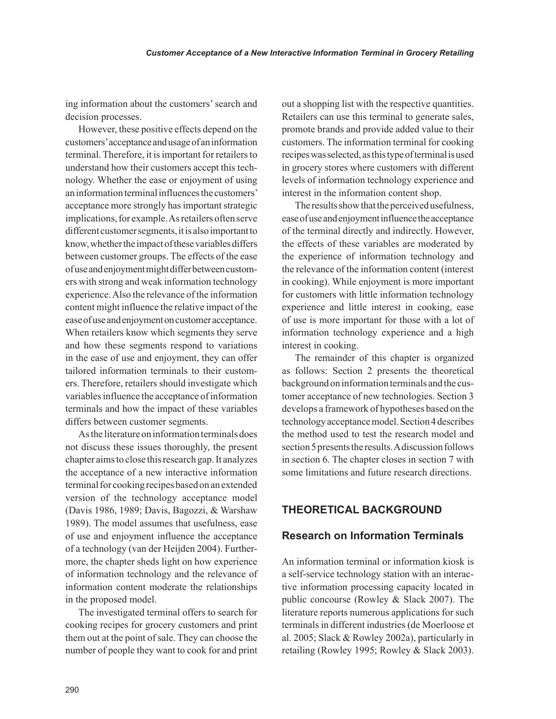ing information about the customers' search and decision processes.

However, these positive effects depend on the customers' acceptance and usage of an information terminal. Therefore, it is important for retailers to understand how their customers accept this technology. Whether the ease or enjoyment of using an information terminal influences the customers' acceptance more strongly has important strategic implications, for example. As retailers often serve different customer segments, it is also important to know, whether the impact of these variables differs between customer groups. The effects of the ease of use and enjoyment might differ between customers with strong and weak information technology experience. Also the relevance of the information content might influence the relative impact of the ease of use and enjoyment on customer acceptance. When retailers know which segments they serve and how these segments respond to variations in the ease of use and enjoyment, they can offer tailored information terminals to their customers. Therefore, retailers should investigate which variables influence the acceptance of information terminals and how the impact of these variables differs between customer segments.

As the literature on information terminals does not discuss these issues thoroughly, the present chapter aims to close this research gap. It analyzes the acceptance of a new interactive information terminal for cooking recipes based on an extended version of the technology acceptance model (Davis 1986, 1989; Davis, Bagozzi, & Warshaw 1989). The model assumes that usefulness, ease of use and enjoyment influence the acceptance of a technology (van der Heijden 2004). Furthermore, the chapter sheds light on how experience of information technology and the relevance of information content moderate the relationships in the proposed model.

The investigated terminal offers to search for cooking recipes for grocery customers and print them out at the point of sale. They can choose the number of people they want to cook for and print out a shopping list with the respective quantities. Retailers can use this terminal to generate sales, promote brands and provide added value to their customers. The information terminal for cooking recipes was selected, as this type of terminal is used in grocery stores where customers with different levels of information technology experience and interest in the information content shop.

The results show that the perceived usefulness, ease of use and enjoyment influence the acceptance of the terminal directly and indirectly. However, the effects of these variables are moderated by the experience of information technology and the relevance of the information content (interest in cooking). While enjoyment is more important for customers with little information technology experience and little interest in cooking, ease of use is more important for those with a lot of information technology experience and a high interest in cooking.

The remainder of this chapter is organized as follows: Section 2 presents the theoretical background on information terminals and the customer acceptance of new technologies. Section 3 develops a framework of hypotheses based on the technology acceptance model. Section 4 describes the method used to test the research model and section 5 presents the results. A discussion follows in section 6. The chapter closes in section 7 with some limitations and future research directions.

# **THEORETICAL BACKGROUND**

# **Research on Information Terminals**

An information terminal or information kiosk is a self-service technology station with an interactive information processing capacity located in public concourse (Rowley & Slack 2007). The literature reports numerous applications for such terminals in different industries (de Moerloose et al. 2005; Slack & Rowley 2002a), particularly in retailing (Rowley 1995; Rowley & Slack 2003).